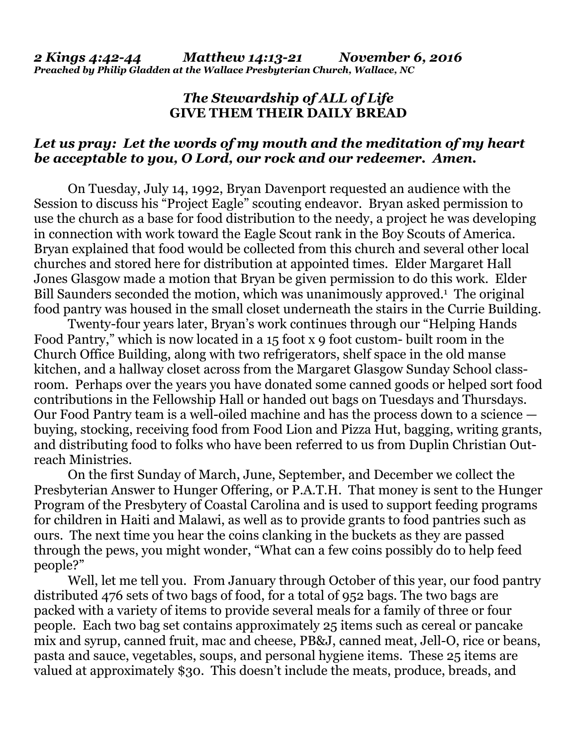## *The Stewardship of ALL of Life*  **GIVE THEM THEIR DAILY BREAD**

## *Let us pray: Let the words of my mouth and the meditation of my heart be acceptable to you, O Lord, our rock and our redeemer. Amen.*

On Tuesday, July 14, 1992, Bryan Davenport requested an audience with the Session to discuss his "Project Eagle" scouting endeavor. Bryan asked permission to use the church as a base for food distribution to the needy, a project he was developing in connection with work toward the Eagle Scout rank in the Boy Scouts of America. Bryan explained that food would be collected from this church and several other local churches and stored here for distribution at appointed times. Elder Margaret Hall Jones Glasgow made a motion that Bryan be given permission to do this work. Elder Bill Saunders seconded the motion, which was unanimously approved.<sup>1</sup> The original food pantry was housed in the small closet underneath the stairs in the Currie Building.

 Twenty-four years later, Bryan's work continues through our "Helping Hands Food Pantry," which is now located in a 15 foot x 9 foot custom- built room in the Church Office Building, along with two refrigerators, shelf space in the old manse kitchen, and a hallway closet across from the Margaret Glasgow Sunday School classroom. Perhaps over the years you have donated some canned goods or helped sort food contributions in the Fellowship Hall or handed out bags on Tuesdays and Thursdays. Our Food Pantry team is a well-oiled machine and has the process down to a science buying, stocking, receiving food from Food Lion and Pizza Hut, bagging, writing grants, and distributing food to folks who have been referred to us from Duplin Christian Outreach Ministries.

 On the first Sunday of March, June, September, and December we collect the Presbyterian Answer to Hunger Offering, or P.A.T.H. That money is sent to the Hunger Program of the Presbytery of Coastal Carolina and is used to support feeding programs for children in Haiti and Malawi, as well as to provide grants to food pantries such as ours. The next time you hear the coins clanking in the buckets as they are passed through the pews, you might wonder, "What can a few coins possibly do to help feed people?"

 Well, let me tell you. From January through October of this year, our food pantry distributed 476 sets of two bags of food, for a total of 952 bags. The two bags are packed with a variety of items to provide several meals for a family of three or four people. Each two bag set contains approximately 25 items such as cereal or pancake mix and syrup, canned fruit, mac and cheese, PB&J, canned meat, Jell-O, rice or beans, pasta and sauce, vegetables, soups, and personal hygiene items. These 25 items are valued at approximately \$30. This doesn't include the meats, produce, breads, and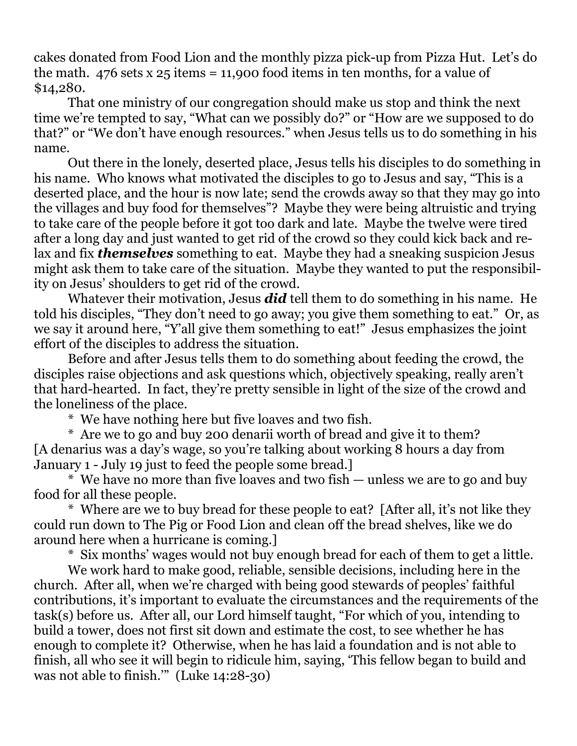cakes donated from Food Lion and the monthly pizza pick-up from Pizza Hut. Let's do the math. 476 sets x  $25$  items = 11,900 food items in ten months, for a value of \$14,280.

 That one ministry of our congregation should make us stop and think the next time we're tempted to say, "What can we possibly do?" or "How are we supposed to do that?" or "We don't have enough resources." when Jesus tells us to do something in his name.

 Out there in the lonely, deserted place, Jesus tells his disciples to do something in his name. Who knows what motivated the disciples to go to Jesus and say, "This is a deserted place, and the hour is now late; send the crowds away so that they may go into the villages and buy food for themselves"? Maybe they were being altruistic and trying to take care of the people before it got too dark and late. Maybe the twelve were tired after a long day and just wanted to get rid of the crowd so they could kick back and relax and fix *themselves* something to eat. Maybe they had a sneaking suspicion Jesus might ask them to take care of the situation. Maybe they wanted to put the responsibility on Jesus' shoulders to get rid of the crowd.

 Whatever their motivation, Jesus *did* tell them to do something in his name. He told his disciples, "They don't need to go away; you give them something to eat." Or, as we say it around here, "Y'all give them something to eat!" Jesus emphasizes the joint effort of the disciples to address the situation.

 Before and after Jesus tells them to do something about feeding the crowd, the disciples raise objections and ask questions which, objectively speaking, really aren't that hard-hearted. In fact, they're pretty sensible in light of the size of the crowd and the loneliness of the place.

\* We have nothing here but five loaves and two fish.

 \* Are we to go and buy 200 denarii worth of bread and give it to them? [A denarius was a day's wage, so you're talking about working 8 hours a day from January 1 - July 19 just to feed the people some bread.]

 \* We have no more than five loaves and two fish — unless we are to go and buy food for all these people.

 \* Where are we to buy bread for these people to eat? [After all, it's not like they could run down to The Pig or Food Lion and clean off the bread shelves, like we do around here when a hurricane is coming.]

\* Six months' wages would not buy enough bread for each of them to get a little.

 We work hard to make good, reliable, sensible decisions, including here in the church. After all, when we're charged with being good stewards of peoples' faithful contributions, it's important to evaluate the circumstances and the requirements of the task(s) before us. After all, our Lord himself taught, "For which of you, intending to build a tower, does not first sit down and estimate the cost, to see whether he has enough to complete it? Otherwise, when he has laid a foundation and is not able to finish, all who see it will begin to ridicule him, saying, 'This fellow began to build and was not able to finish.'" (Luke 14:28-30)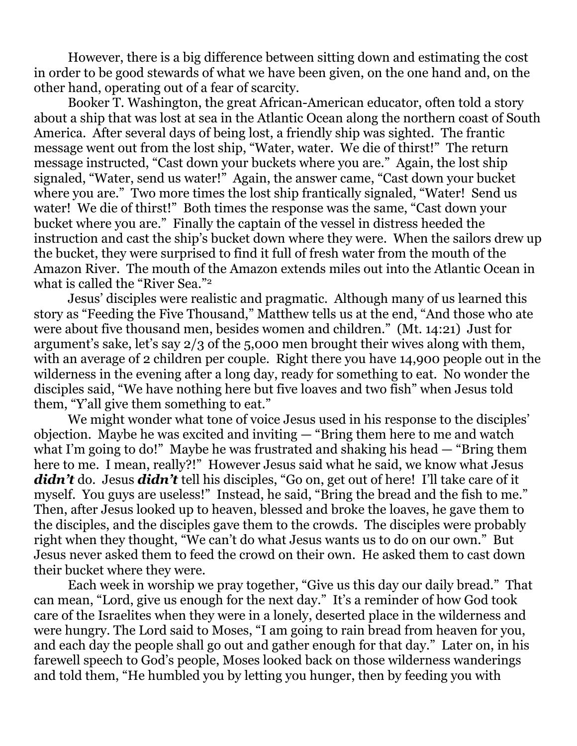However, there is a big difference between sitting down and estimating the cost in order to be good stewards of what we have been given, on the one hand and, on the other hand, operating out of a fear of scarcity.

 Booker T. Washington, the great African-American educator, often told a story about a ship that was lost at sea in the Atlantic Ocean along the northern coast of South America. After several days of being lost, a friendly ship was sighted. The frantic message went out from the lost ship, "Water, water. We die of thirst!" The return message instructed, "Cast down your buckets where you are." Again, the lost ship signaled, "Water, send us water!" Again, the answer came, "Cast down your bucket where you are." Two more times the lost ship frantically signaled, "Water! Send us water! We die of thirst!" Both times the response was the same, "Cast down your bucket where you are." Finally the captain of the vessel in distress heeded the instruction and cast the ship's bucket down where they were. When the sailors drew up the bucket, they were surprised to find it full of fresh water from the mouth of the Amazon River. The mouth of the Amazon extends miles out into the Atlantic Ocean in what is called the "River Sea."2

 Jesus' disciples were realistic and pragmatic. Although many of us learned this story as "Feeding the Five Thousand," Matthew tells us at the end, "And those who ate were about five thousand men, besides women and children." (Mt. 14:21) Just for argument's sake, let's say 2/3 of the 5,000 men brought their wives along with them, with an average of 2 children per couple. Right there you have 14,900 people out in the wilderness in the evening after a long day, ready for something to eat. No wonder the disciples said, "We have nothing here but five loaves and two fish" when Jesus told them, "Y'all give them something to eat."

 We might wonder what tone of voice Jesus used in his response to the disciples' objection. Maybe he was excited and inviting — "Bring them here to me and watch what I'm going to do!" Maybe he was frustrated and shaking his head — "Bring them" here to me. I mean, really?!" However Jesus said what he said, we know what Jesus didn't do. Jesus *didn't* tell his disciples, "Go on, get out of here! I'll take care of it myself. You guys are useless!" Instead, he said, "Bring the bread and the fish to me." Then, after Jesus looked up to heaven, blessed and broke the loaves, he gave them to the disciples, and the disciples gave them to the crowds. The disciples were probably right when they thought, "We can't do what Jesus wants us to do on our own." But Jesus never asked them to feed the crowd on their own. He asked them to cast down their bucket where they were.

 Each week in worship we pray together, "Give us this day our daily bread." That can mean, "Lord, give us enough for the next day." It's a reminder of how God took care of the Israelites when they were in a lonely, deserted place in the wilderness and were hungry. The Lord said to Moses, "I am going to rain bread from heaven for you, and each day the people shall go out and gather enough for that day." Later on, in his farewell speech to God's people, Moses looked back on those wilderness wanderings and told them, "He humbled you by letting you hunger, then by feeding you with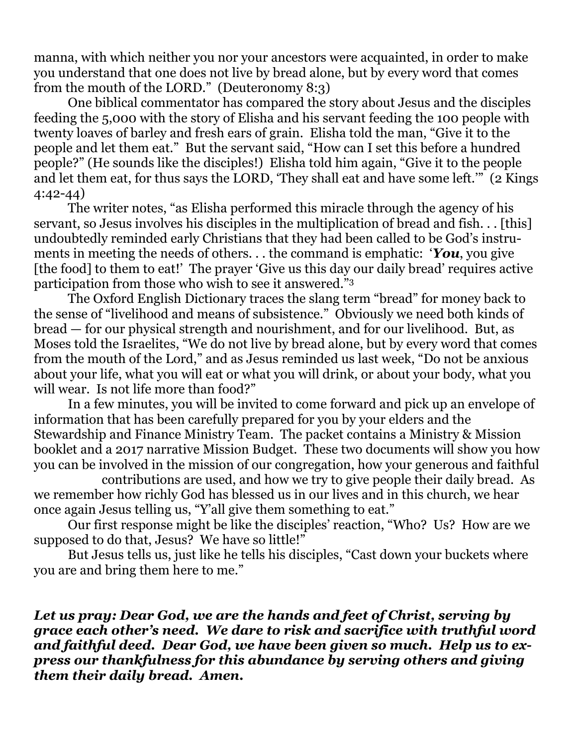manna, with which neither you nor your ancestors were acquainted, in order to make you understand that one does not live by bread alone, but by every word that comes from the mouth of the LORD." (Deuteronomy 8:3)

 One biblical commentator has compared the story about Jesus and the disciples feeding the 5,000 with the story of Elisha and his servant feeding the 100 people with twenty loaves of barley and fresh ears of grain. Elisha told the man, "Give it to the people and let them eat." But the servant said, "How can I set this before a hundred people?" (He sounds like the disciples!) Elisha told him again, "Give it to the people and let them eat, for thus says the LORD, 'They shall eat and have some left.'" (2 Kings 4:42-44)

 The writer notes, "as Elisha performed this miracle through the agency of his servant, so Jesus involves his disciples in the multiplication of bread and fish. . . [this] undoubtedly reminded early Christians that they had been called to be God's instruments in meeting the needs of others. . . the command is emphatic: '*You*, you give [the food] to them to eat!' The prayer 'Give us this day our daily bread' requires active participation from those who wish to see it answered."3

 The Oxford English Dictionary traces the slang term "bread" for money back to the sense of "livelihood and means of subsistence." Obviously we need both kinds of bread — for our physical strength and nourishment, and for our livelihood. But, as Moses told the Israelites, "We do not live by bread alone, but by every word that comes from the mouth of the Lord," and as Jesus reminded us last week, "Do not be anxious about your life, what you will eat or what you will drink, or about your body, what you will wear. Is not life more than food?"

 In a few minutes, you will be invited to come forward and pick up an envelope of information that has been carefully prepared for you by your elders and the Stewardship and Finance Ministry Team. The packet contains a Ministry & Mission booklet and a 2017 narrative Mission Budget. These two documents will show you how you can be involved in the mission of our congregation, how your generous and faithful

 contributions are used, and how we try to give people their daily bread. As we remember how richly God has blessed us in our lives and in this church, we hear once again Jesus telling us, "Y'all give them something to eat."

 Our first response might be like the disciples' reaction, "Who? Us? How are we supposed to do that, Jesus? We have so little!"

 But Jesus tells us, just like he tells his disciples, "Cast down your buckets where you are and bring them here to me."

*Let us pray: Dear God, we are the hands and feet of Christ, serving by grace each other's need. We dare to risk and sacrifice with truthful word and faithful deed. Dear God, we have been given so much. Help us to express our thankfulness for this abundance by serving others and giving them their daily bread. Amen.*